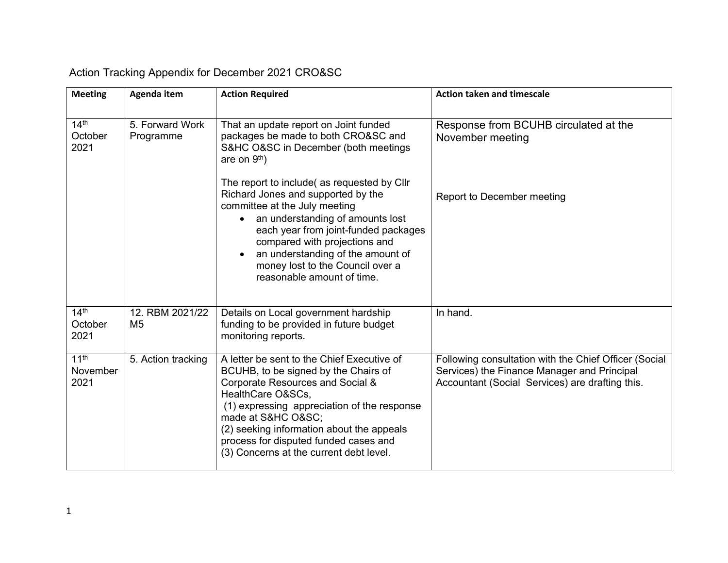| <b>Meeting</b>                       | Agenda item                       | <b>Action Required</b>                                                                                                                                                                                                                                                                                                                         | <b>Action taken and timescale</b>                                                                                                                       |
|--------------------------------------|-----------------------------------|------------------------------------------------------------------------------------------------------------------------------------------------------------------------------------------------------------------------------------------------------------------------------------------------------------------------------------------------|---------------------------------------------------------------------------------------------------------------------------------------------------------|
| 14 <sup>th</sup><br>October<br>2021  | 5. Forward Work<br>Programme      | That an update report on Joint funded<br>packages be made to both CRO&SC and<br>S&HC O&SC in December (both meetings<br>are on 9 <sup>th</sup> )                                                                                                                                                                                               | Response from BCUHB circulated at the<br>November meeting                                                                                               |
|                                      |                                   | The report to include(as requested by Cllr<br>Richard Jones and supported by the<br>committee at the July meeting<br>an understanding of amounts lost<br>each year from joint-funded packages<br>compared with projections and<br>an understanding of the amount of<br>money lost to the Council over a<br>reasonable amount of time.          | Report to December meeting                                                                                                                              |
| 14 <sup>th</sup><br>October<br>2021  | 12. RBM 2021/22<br>M <sub>5</sub> | Details on Local government hardship<br>funding to be provided in future budget<br>monitoring reports.                                                                                                                                                                                                                                         | In hand.                                                                                                                                                |
| 11 <sup>th</sup><br>November<br>2021 | 5. Action tracking                | A letter be sent to the Chief Executive of<br>BCUHB, to be signed by the Chairs of<br>Corporate Resources and Social &<br>HealthCare O&SCs,<br>(1) expressing appreciation of the response<br>made at S&HC O≻<br>(2) seeking information about the appeals<br>process for disputed funded cases and<br>(3) Concerns at the current debt level. | Following consultation with the Chief Officer (Social<br>Services) the Finance Manager and Principal<br>Accountant (Social Services) are drafting this. |

## Action Tracking Appendix for December 2021 CRO&SC